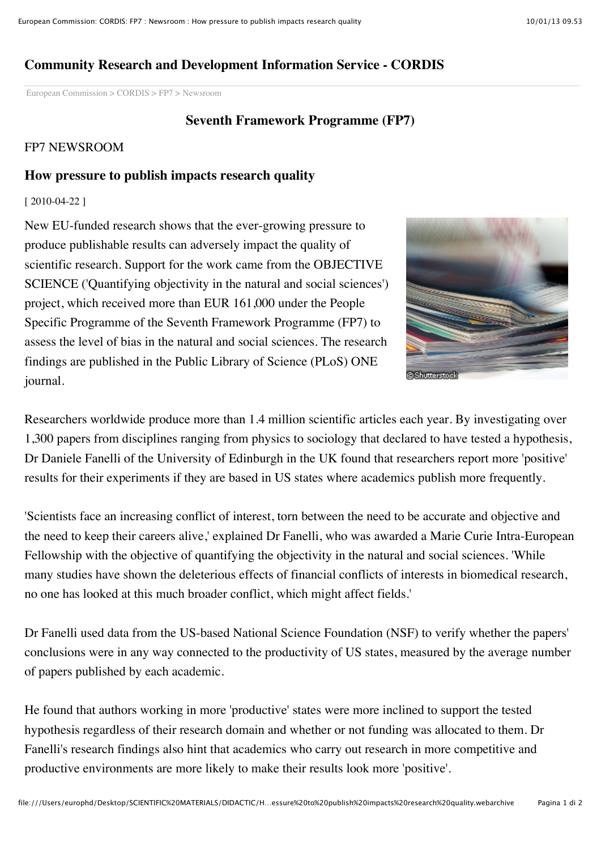# **Community Research and Development Information Service - CORDIS**

[European Commission](http://ec.europa.eu/index_en.htm) > [CORDIS](http://cordis.lu/home_en.html) > [FP7](http://cordis.lu/fp7/home_en.html) > Newsroom

### **Seventh Framework Programme (FP7)**

### FP7 NEWSROOM

# **How pressure to publish impacts research quality**

#### [ 2010-04-22 ]

New EU-funded research shows that the ever-growing pressure to produce publishable results can adversely impact the quality of scientific research. Support for the work came from the OBJECTIVE SCIENCE ('Quantifying objectivity in the natural and social sciences') project, which received more than EUR 161,000 under the People Specific Programme of the Seventh Framework Programme (FP7) to assess the level of bias in the natural and social sciences. The research findings are published in the Public Library of Science (PLoS) ONE journal.



Researchers worldwide produce more than 1.4 million scientific articles each year. By investigating over 1,300 papers from disciplines ranging from physics to sociology that declared to have tested a hypothesis, Dr Daniele Fanelli of the University of Edinburgh in the UK found that researchers report more 'positive' results for their experiments if they are based in US states where academics publish more frequently.

'Scientists face an increasing conflict of interest, torn between the need to be accurate and objective and the need to keep their careers alive,' explained Dr Fanelli, who was awarded a Marie Curie Intra-European Fellowship with the objective of quantifying the objectivity in the natural and social sciences. 'While many studies have shown the deleterious effects of financial conflicts of interests in biomedical research, no one has looked at this much broader conflict, which might affect fields.'

Dr Fanelli used data from the US-based National Science Foundation (NSF) to verify whether the papers' conclusions were in any way connected to the productivity of US states, measured by the average number of papers published by each academic.

He found that authors working in more 'productive' states were more inclined to support the tested hypothesis regardless of their research domain and whether or not funding was allocated to them. Dr Fanelli's research findings also hint that academics who carry out research in more competitive and productive environments are more likely to make their results look more 'positive'.